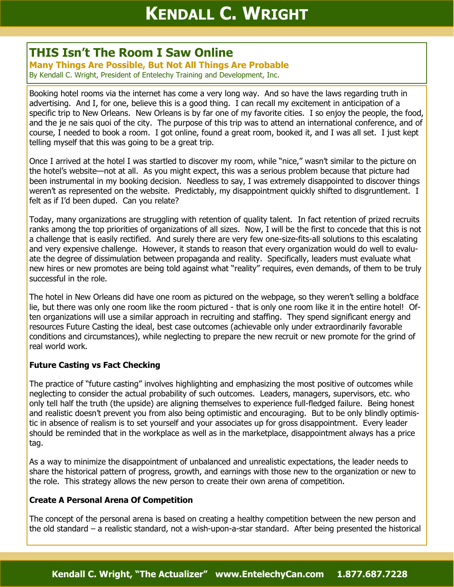# **THIS Isn't The Room I Saw Online**

**Many Things Are Possible, But Not All Things Are Probable** By Kendall C. Wright, President of Entelechy Training and Development, Inc.

Booking hotel rooms via the internet has come a very long way. And so have the laws regarding truth in advertising. And I, for one, believe this is a good thing. I can recall my excitement in anticipation of a specific trip to New Orleans. New Orleans is by far one of my favorite cities. I so enjoy the people, the food, and the je ne sais quoi of the city. The purpose of this trip was to attend an international conference, and of course, I needed to book a room. I got online, found a great room, booked it, and I was all set. I just kept telling myself that this was going to be a great trip.

Once I arrived at the hotel I was startled to discover my room, while "nice," wasn't similar to the picture on the hotel's website—not at all. As you might expect, this was a serious problem because that picture had been instrumental in my booking decision. Needless to say, I was extremely disappointed to discover things weren't as represented on the website. Predictably, my disappointment quickly shifted to disgruntlement. I felt as if I'd been duped. Can you relate?

Today, many organizations are struggling with retention of quality talent. In fact retention of prized recruits ranks among the top priorities of organizations of all sizes. Now, I will be the first to concede that this is not a challenge that is easily rectified. And surely there are very few one-size-fits-all solutions to this escalating and very expensive challenge. However, it stands to reason that every organization would do well to evaluate the degree of dissimulation between propaganda and reality. Specifically, leaders must evaluate what new hires or new promotes are being told against what "reality" requires, even demands, of them to be truly successful in the role.

The hotel in New Orleans did have one room as pictured on the webpage, so they weren't selling a boldface lie, but there was only one room like the room pictured - that is only one room like it in the entire hotel! Often organizations will use a similar approach in recruiting and staffing. They spend significant energy and resources Future Casting the ideal, best case outcomes (achievable only under extraordinarily favorable conditions and circumstances), while neglecting to prepare the new recruit or new promote for the grind of real world work.

## **Future Casting vs Fact Checking**

The practice of "future casting" involves highlighting and emphasizing the most positive of outcomes while neglecting to consider the actual probability of such outcomes. Leaders, managers, supervisors, etc. who only tell half the truth (the upside) are aligning themselves to experience full-fledged failure. Being honest and realistic doesn't prevent you from also being optimistic and encouraging. But to be only blindly optimistic in absence of realism is to set yourself and your associates up for gross disappointment. Every leader should be reminded that in the workplace as well as in the marketplace, disappointment always has a price tag.

As a way to minimize the disappointment of unbalanced and unrealistic expectations, the leader needs to share the historical pattern of progress, growth, and earnings with those new to the organization or new to the role. This strategy allows the new person to create their own arena of competition.

## **Create A Personal Arena Of Competition**

The concept of the personal arena is based on creating a healthy competition between the new person and the old standard – a realistic standard, not a wish-upon-a-star standard. After being presented the historical